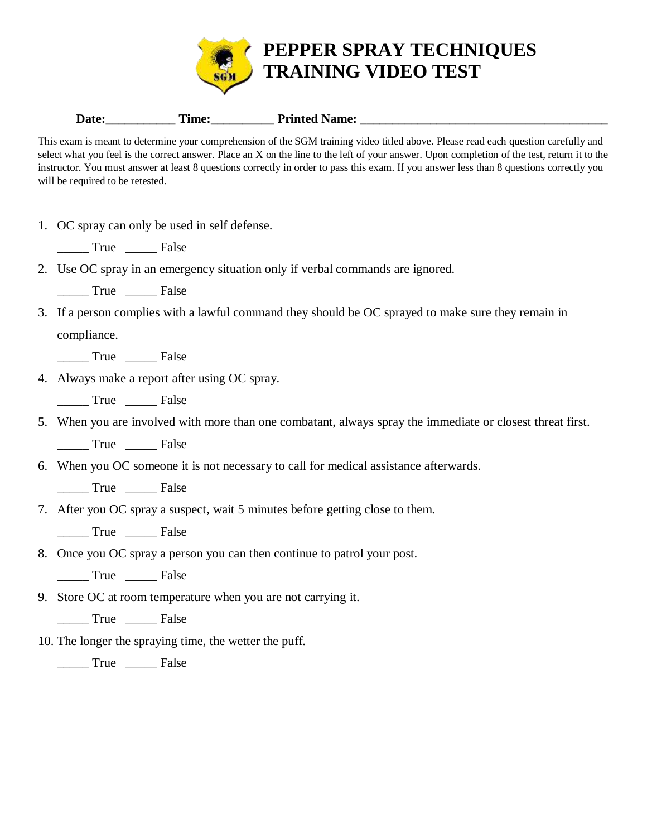

|  | Date: | nme: | Printed<br>Name: |
|--|-------|------|------------------|
|--|-------|------|------------------|

This exam is meant to determine your comprehension of the SGM training video titled above. Please read each question carefully and select what you feel is the correct answer. Place an X on the line to the left of your answer. Upon completion of the test, return it to the instructor. You must answer at least 8 questions correctly in order to pass this exam. If you answer less than 8 questions correctly you will be required to be retested.

- 1. OC spray can only be used in self defense.
	- True False
- 2. Use OC spray in an emergency situation only if verbal commands are ignored.
	- \_\_\_\_\_ True \_\_\_\_\_ False
- 3. If a person complies with a lawful command they should be OC sprayed to make sure they remain in compliance.
	- \_\_\_\_\_ True \_\_\_\_\_ False
- 4. Always make a report after using OC spray.
	- \_\_\_\_\_ True \_\_\_\_\_ False
- 5. When you are involved with more than one combatant, always spray the immediate or closest threat first.
	- \_\_\_\_\_ True \_\_\_\_\_ False
- 6. When you OC someone it is not necessary to call for medical assistance afterwards.
	- \_\_\_\_\_ True \_\_\_\_\_ False
- 7. After you OC spray a suspect, wait 5 minutes before getting close to them.
	- True False
- 8. Once you OC spray a person you can then continue to patrol your post.
	- \_\_\_\_\_ True \_\_\_\_\_ False
- 9. Store OC at room temperature when you are not carrying it.
	- \_\_\_\_\_ True \_\_\_\_\_ False
- 10. The longer the spraying time, the wetter the puff.

\_\_\_\_\_ True \_\_\_\_\_ False